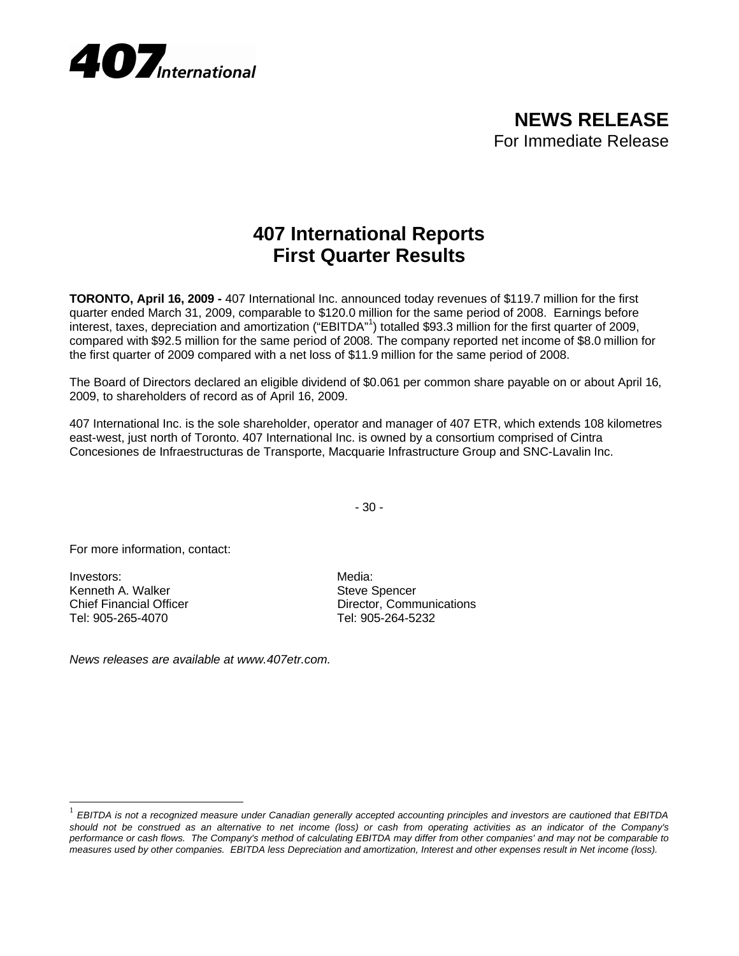

**NEWS RELEASE** For Immediate Release

## **407 International Reports First Quarter Results**

**TORONTO, April 16, 2009 -** 407 International Inc. announced today revenues of \$119.7 million for the first quarter ended March 31, 2009, comparable to \$120.0 million for the same period of 2008. Earnings before interest, taxes, depreciation and amortization ("EBITDA"<sup>1</sup> ) totalled \$93.3 million for the first quarter of 2009, compared with \$92.5 million for the same period of 2008. The company reported net income of \$8.0 million for the first quarter of 2009 compared with a net loss of \$11.9 million for the same period of 2008.

The Board of Directors declared an eligible dividend of \$0.061 per common share payable on or about April 16, 2009, to shareholders of record as of April 16, 2009.

407 International Inc. is the sole shareholder, operator and manager of 407 ETR, which extends 108 kilometres east-west, just north of Toronto. 407 International Inc. is owned by a consortium comprised of Cintra Concesiones de Infraestructuras de Transporte, Macquarie Infrastructure Group and SNC-Lavalin Inc.

- 30 -

For more information, contact:

Investors: Media: Media: Media: Media: Media: Media: Media: Media: Media: Media: Media: Media: Media: Media:  $\sim$  Media:  $\sim$  Media:  $\sim$  Media:  $\sim$  Media:  $\sim$  Media:  $\sim$  Media:  $\sim$  Media:  $\sim$  Media:  $\sim$  Media:  $\sim$  Kenneth A. Walker Steve Spencer<br>
Chief Financial Officer Steve Spencer<br>
Chief Steven Schwarzer Spencer Tel: 905-265-4070 Tel: 905-264-5232

l

Director, Communications

*News releases are available at www.407etr.com.*

<sup>1</sup> *EBITDA is not a recognized measure under Canadian generally accepted accounting principles and investors are cautioned that EBITDA should not be construed as an alternative to net income (loss) or cash from operating activities as an indicator of the Company's performance or cash flows. The Company's method of calculating EBITDA may differ from other companies' and may not be comparable to measures used by other companies. EBITDA less Depreciation and amortization, Interest and other expenses result in Net income (loss).*